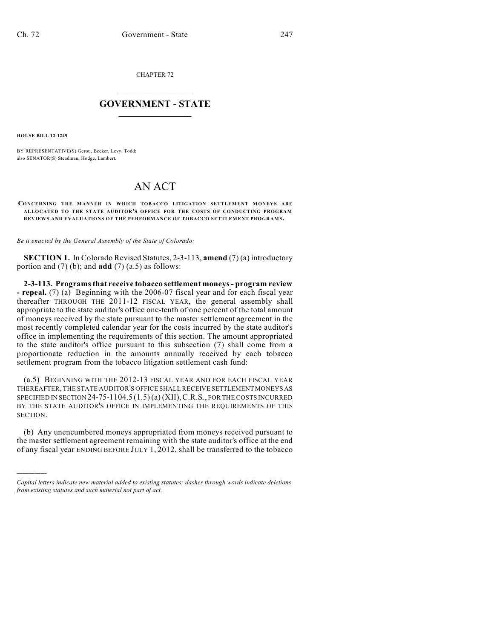CHAPTER 72

## $\mathcal{L}_\text{max}$  . The set of the set of the set of the set of the set of the set of the set of the set of the set of the set of the set of the set of the set of the set of the set of the set of the set of the set of the set **GOVERNMENT - STATE**  $\_$   $\_$   $\_$   $\_$   $\_$   $\_$   $\_$   $\_$

**HOUSE BILL 12-1249**

)))))

BY REPRESENTATIVE(S) Gerou, Becker, Levy, Todd; also SENATOR(S) Steadman, Hodge, Lambert.

## AN ACT

## **CONCERNING THE MANNER IN WHICH TOBACCO LITIGATION SETTLEMENT MONEYS ARE ALLOCATED TO THE STATE AUDITOR'S OFFICE FOR THE COSTS OF CONDUCTING PROGRAM REVIEWS AND EVALUATIONS OF THE PERFORMANCE OF TOBACCO SETTLEMENT PROGRAMS.**

*Be it enacted by the General Assembly of the State of Colorado:*

**SECTION 1.** In Colorado Revised Statutes, 2-3-113, **amend** (7) (a) introductory portion and (7) (b); and **add** (7) (a.5) as follows:

**2-3-113. Programsthat receive tobacco settlement moneys- program review - repeal.** (7) (a) Beginning with the 2006-07 fiscal year and for each fiscal year thereafter THROUGH THE 2011-12 FISCAL YEAR, the general assembly shall appropriate to the state auditor's office one-tenth of one percent of the total amount of moneys received by the state pursuant to the master settlement agreement in the most recently completed calendar year for the costs incurred by the state auditor's office in implementing the requirements of this section. The amount appropriated to the state auditor's office pursuant to this subsection (7) shall come from a proportionate reduction in the amounts annually received by each tobacco settlement program from the tobacco litigation settlement cash fund:

(a.5) BEGINNING WITH THE 2012-13 FISCAL YEAR AND FOR EACH FISCAL YEAR THEREAFTER, THE STATE AUDITOR'S OFFICE SHALL RECEIVE SETTLEMENT MONEYS AS SPECIFIED IN SECTION 24-75-1104.5 (1.5) (a) (XII),C.R.S., FOR THE COSTS INCURRED BY THE STATE AUDITOR'S OFFICE IN IMPLEMENTING THE REQUIREMENTS OF THIS SECTION.

(b) Any unencumbered moneys appropriated from moneys received pursuant to the master settlement agreement remaining with the state auditor's office at the end of any fiscal year ENDING BEFORE JULY 1, 2012, shall be transferred to the tobacco

*Capital letters indicate new material added to existing statutes; dashes through words indicate deletions from existing statutes and such material not part of act.*